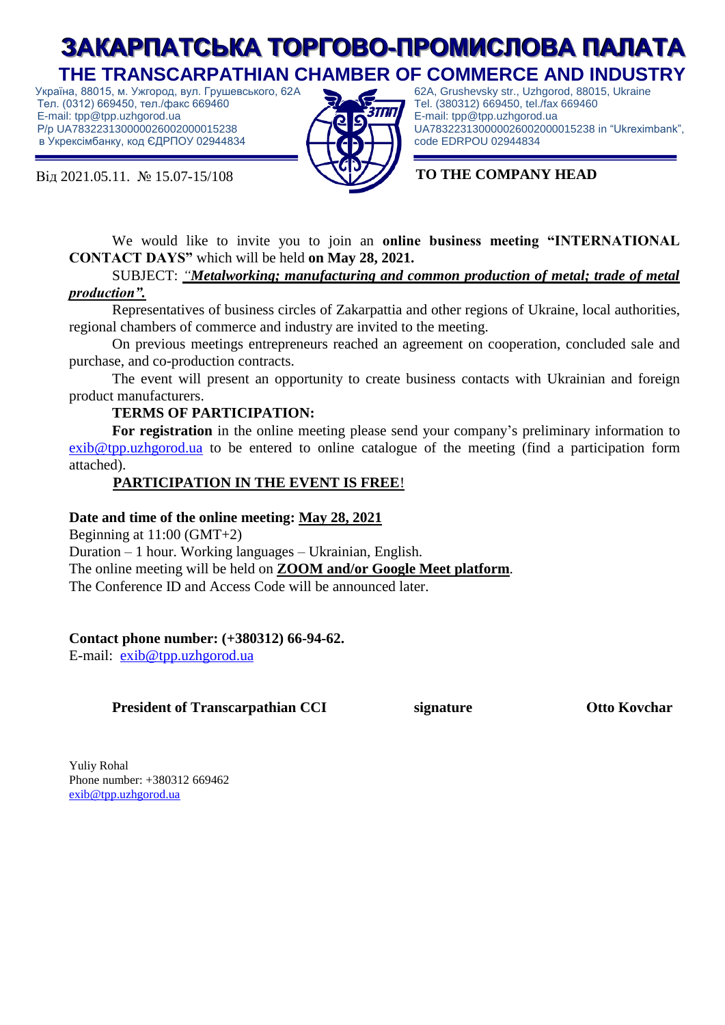# **ЗАКАРПАТСЬКА ТОРГОВО-ПРОМИСЛОВА ПАЛАТА THE TRANSCARPATHIAN CHAMBER OF COMMERCE AND INDUSTRY**

 Україна, 88015, м. Ужгород, вул. Грушевського, 62A Тел. (0312) 669450, тел./факс 669460 E-mail: tpp@tpp.uzhgorod.ua Р/р UA783223130000026002000015238 в Укрексімбанку, код ЄДРПОУ 02944834

Від 2021.05.11. № 15.07-15/108 **TO THE COMPANY HEAD**



62A, Grushevsky str., Uzhgorod, 88015, Ukraine Tel. (380312) 669450, tel./fax 669460 E-mail: tpp@tpp.uzhgorod.ua UA783223130000026002000015238 in "Ukreximbank", code EDRPOU 02944834

We would like to invite you to join an **online business meeting "INTERNATIONAL CONTACT DAYS"** which will be held **on May 28, 2021.**

SUBJECT: *"Metalworking; manufacturing and common production of metal; trade of metal production".*

Representatives of business circles of Zakarpattia and other regions of Ukraine, local authorities, regional chambers of commerce and industry are invited to the meeting.

On previous meetings entrepreneurs reached an agreement on cooperation, concluded sale and purchase, and co-production contracts.

The event will present an opportunity to create business contacts with Ukrainian and foreign product manufacturers.

#### **TERMS OF PARTICIPATION:**

**For registration** in the online meeting please send your company's preliminary information to [exib@tpp.uzhgorod.ua](mailto:exib@tpp.uzhgorod.ua) to be entered to online catalogue of the meeting (find a participation form attached).

### **PARTICIPATION IN THE EVENT IS FREE**!

#### **Date and time of the online meeting: May 28, 2021**

Beginning at 11:00 (GMT+2) Duration – 1 hour. Working languages – Ukrainian, English. The online meeting will be held on **ZOOM and/or Google Meet platform**. The Conference ID and Access Code will be announced later.

#### **Contact phone number: (+380312) 66-94-62.**

E-mail: [exib@tpp.uzhgorod.ua](mailto:exib@tpp.uzhgorod.ua)

### **President of Transcarpathian CCI signature Оtto Kovchar**

Yuliy Rohal Phone number: +380312 669462 [exib@tpp.uzhgorod.ua](mailto:exib@tpp.uzhgorod.ua)